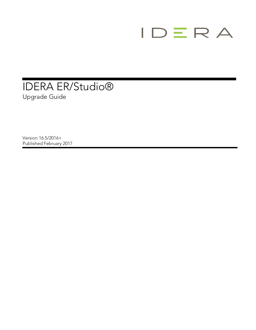

## IDERA ER/Studio® Upgrade Guide

Version 16.5/2016+ Published February 2017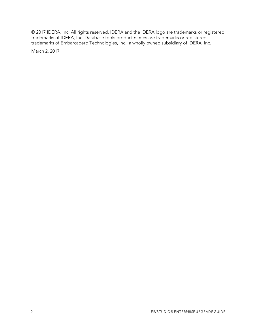© 2017 IDERA, Inc. All rights reserved. IDERA and the IDERA logo are trademarks or registered trademarks of IDERA, Inc. Database tools product names are trademarks or registered trademarks of Embarcadero Technologies, Inc., a wholly owned subsidiary of IDERA, Inc.

March 2, 2017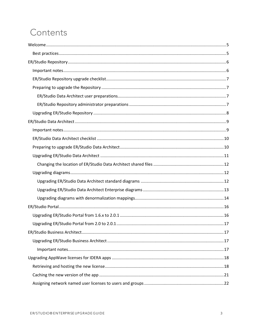# Contents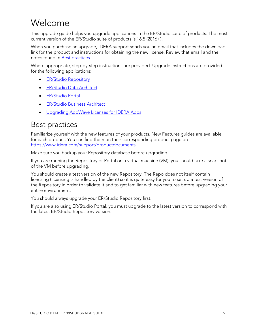## <span id="page-4-0"></span>Welcome

This upgrade guide helps you upgrade applications in the ER/Studio suite of products. The most current version of the ER/Studio suite of products is 16.5 (2016+).

When you purchase an upgrade, IDERA support sends you an email that includes the download link for the product and instructions for obtaining the new license. Review that email and the notes found in [Best practices.](#page-4-1)

Where appropriate, step-by-step instructions are provided. Upgrade instructions are provided for the following applications:

- **•** [ER/Studio Repository](#page-5-0)
- [ER/Studio Data Architect](#page-8-0)
- [ER/Studio Portal](#page-15-0)
- [ER/Studio Business Architect](#page-16-1)
- [Upgrading AppWave Licenses for IDERA](#page-17-0) Apps

### <span id="page-4-1"></span>Best practices

Familiarize yourself with the new features of your products. New Features guides are available for each product. You can find them on their corresponding product page on [https://www.idera.com/support/productdocuments.](https://www.idera.com/support/productdocuments)

Make sure you backup your Repository database before upgrading.

If you are running the Repository or Portal on a virtual machine (VM), you should take a snapshot of the VM before upgrading.

You should create a test version of the new Repository. The Repo does not itself contain licensing (licensing is handled by the client) so it is quite easy for you to set up a test version of the Repository in order to validate it and to get familiar with new features before upgrading your entire environment.

You should always upgrade your ER/Studio Repository first.

If you are also using ER/Studio Portal, you must upgrade to the latest version to correspond with the latest ER/Studio Repository version.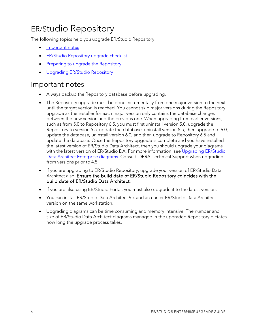## <span id="page-5-0"></span>ER/Studio Repository

The following topics help you upgrade ER/Studio Repository

- [Important notes](#page-5-1)
- [ER/Studio Repository upgrade checklist](#page-6-0)
- [Preparing to upgrade the Repository](#page-6-1)
- [Upgrading ER/Studio Repository](#page-7-0)

### <span id="page-5-1"></span>Important notes

- Always backup the Repository database before upgrading.
- The Repository upgrade must be done incrementally from one major version to the next until the target version is reached. You cannot skip major versions during the Repository upgrade as the installer for each major version only contains the database changes between the new version and the previous one. When upgrading from earlier versions, such as from 5.0 to Repository 6.5, you must first uninstall version 5.0, upgrade the Repository to version 5.5, update the database, uninstall version 5.5, then upgrade to 6.0, update the database, uninstall version 6.0, and then upgrade to Repository 6.5 and update the database. Once the Repository upgrade is complete and you have installed the latest version of ER/Studio Data Architect, then you should upgrade your diagrams with the latest version of ER/Studio DA. For more information, see Upgrading ER/Studio [Data Architect Enterprise diagrams.](#page-12-0) Consult IDERA Technical Support when upgrading from versions prior to 4.5.
- If you are upgrading to ER/Studio Repository, upgrade your version of ER/Studio Data Architect also. Ensure the build date of ER/Studio Repository coincides with the build date of ER/Studio Data Architect.
- If you are also using ER/Studio Portal, you must also upgrade it to the latest version.
- You can install ER/Studio Data Architect 9.x and an earlier ER/Studio Data Architect version on the same workstation.
- Upgrading diagrams can be time consuming and memory intensive. The number and size of ER/Studio Data Architect diagrams managed in the upgraded Repository dictates how long the upgrade process takes.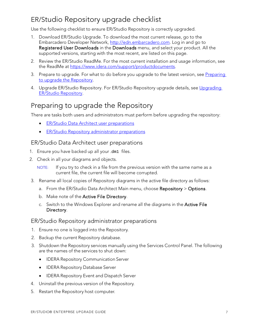### <span id="page-6-0"></span>ER/Studio Repository upgrade checklist

Use the following checklist to ensure ER/Studio Repository is correctly upgraded.

- 1. Download ER/Studio Upgrade. To download the most current release, go to the Embarcadero Developer Network, [http://edn.embarcadero.com.](http://edn.embarcadero.com/) Log in and go to Registered User Downloads in the Downloads menu, and select your product. All the supported versions, starting with the most recent, are listed on this page.
- 2. Review the ER/Studio ReadMe. For the most current installation and usage information, see the ReadMe at [https://www.idera.com/support/productdocuments.](https://www.idera.com/support/productdocuments)
- 3. Prepare to upgrade. For what to do before you upgrade to the latest version, see Preparing [to upgrade the Repository.](#page-6-1)
- 4. Upgrade ER/Studio Repository. For ER/Studio Repository upgrade details, see [Upgrading](#page-7-0) [ER/Studio Repository.](#page-7-0)

### <span id="page-6-1"></span>Preparing to upgrade the Repository

There are tasks both users and administrators must perform before upgrading the repository:

- [ER/Studio Data Architect user preparations](#page-6-2)
- **•** [ER/Studio Repository administrator preparations](#page-6-4)

#### <span id="page-6-2"></span>ER/Studio Data Architect user preparations

- 1. Ensure you have backed up all your .dm1 files.
- 2. Check in all your diagrams and objects.
	- NOTE: If you try to check in a file from the previous version with the same name as a current file, the current file will become corrupted.
- 3. Rename all local copies of Repository diagrams in the active file directory as follows:
	- a. From the ER/Studio Data Architect Main menu, choose Repository > Options.
	- b. Make note of the Active File Directory.
	- c. Switch to the Windows Explorer and rename all the diagrams in the Active File Directory.

#### <span id="page-6-4"></span><span id="page-6-3"></span>ER/Studio Repository administrator preparations

- 1. Ensure no one is logged into the Repository.
- 2. Backup the current Repository database.
- 3. Shutdown the Repository services manually using the Services Control Panel. The following are the names of the services to shut down:
	- IDERA Repository Communication Server
	- IDERA Repository Database Server
	- IDERA Repository Event and Dispatch Server
- 4. Uninstall the previous version of the Repository.
- 5. Restart the Repository host computer.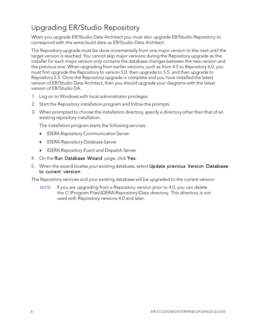## <span id="page-7-0"></span>Upgrading ER/Studio Repository

When you upgrade ER/Studio Data Architect you must also upgrade ER/Studio Repository to correspond with the same build date as ER/Studio Data Architect.

The Repository upgrade must be done incrementally from one major version to the next until the target version is reached. You cannot skip major versions during the Repository upgrade as the installer for each major version only contains the database changes between the new version and the previous one. When upgrading from earlier versions, such as from 4.5 to Repository 6.0, you must first upgrade the Repository to version 5.0, then upgrade to 5.5, and then upgrade to Repository 5.5. Once the Repository upgrade is complete and you have installed the latest version of ER/Studio Data Architect, then you should upgrade your diagrams with the latest version of ER/Studio DA.

- 1. Log on to Windows with local administrator privileges.
- 2. Start the Repository installation program and follow the prompts.
- 3. When prompted to choose the installation directory, specify a directory other than that of an existing repository installation.

The installation program starts the following services:

- IDERA Repository Communication Server
- IDERA Repository Database Server
- IDERA Repository Event and Dispatch Server
- 4. On the Run Database Wizard page, click Yes.
- 5. When the wizard locates your existing database, select Update previous Version Database to current version.

The Repository services and your existing database will be upgraded to the current version.

NOTE: If you are upgrading from a Repository version prior to 4.0, you can delete the C:\Program Files\IDERA\Repository\Data directory. This directory is not used with Repository versions 4.0 and later.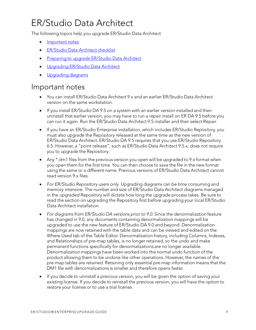# <span id="page-8-0"></span>ER/Studio Data Architect

The following topics help you upgrade ER/Studio Data Architect

- [Important](#page-8-1) notes
- **[ER/Studio](#page-9-0) Data Architect checklist**
- Preparing to upgrade [ER/Studio](#page-9-1) Data Architect
- [Upgrading](#page-10-0) ER/Studio Data Architect
- [Upgrading](#page-11-1) diagrams

### <span id="page-8-1"></span>Important notes

- You can install ER/Studio Data Architect 9.x and an earlier ER/Studio Data Architect version on the same workstation.
- If you install ER/Studio DA 9.5 on a system with an earlier version installed and then uninstall that earlier version, you may have to run a repair install on ER DA 9.5 before you can run it again. Run the ER/Studio Data Architect 9.5 installer and then select Repair.
- If you have an ER/Studio Enterprise installation, which includes ER/Studio Repository, you must also upgrade the Repository released at the same time as the new version of ER/Studio Data Architect. ER/Studio DA 9.5 requires that you use ER/Studio Repository 6.5. However, a "point release", such as ER/Studio Data Architect 9.5.x, does not require you to upgrade the Repository.
- Any \*.dm1 files from the previous version you open will be upgraded to 9.x format when you open them for the first time. You can then choose to save the file in the new format using the same or a different name. Previous versions of ER/Studio Data Architect cannot read version 9.x files.
- *For ER/Studio Repository users only.* Upgrading diagrams can be time consuming and memory intensive. The number and size of ER/Studio Data Architect diagrams managed in the upgraded Repository will dictate how long the upgrade process takes. Be sure to read the section on upgrading the Repository first before upgrading your local ER/Studio Data Architect installation.
- *For diagrams from ER/Studio DA versions prior to 9.0.* Since the denormalization feature has changed in 9.0, any documents containing denormalization mappings will be upgraded to use the new feature of ER/Studio DA 9.0 and beyond. Denormalization mappings are now retained with the table data and can be viewed and edited on the Where Used tab of the Table Editor. Denormalization history, including Columns, Indexes, and Relationships of pre-map tables, is no longer retained, so the undo and make permanent functions specifically for denormalizations are no longer available. Denormalization mappings have been worked into the normal undo function of the product allowing them to be undone like other operations. However, the names of the pre-map tables are retained. Retaining only essential pre-map information means that the DM1 file with denormalizations is smaller and therefore opens faster.
- If you decide to uninstall a previous version, you will be given the option of saving your existing license. If you decide to reinstall the previous version, you will have the option to restore your license or to use a trial license.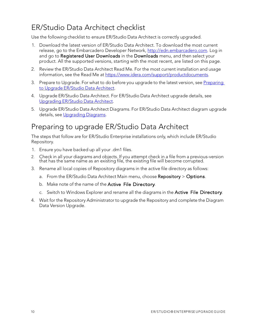## <span id="page-9-0"></span>ER/Studio Data Architect checklist

Use the following checklist to ensure ER/Studio Data Architect is correctly upgraded.

- 1. Download the latest version of ER/Studio Data Architect. To download the most current release, go to the Embarcadero Developer Network, [http://edn.embarcadero.com.](http://edn.embarcadero.com/) Log in and go to Registered User Downloads in the Downloads menu, and then select your product. All the supported versions, starting with the most recent, are listed on this page.
- 2. Review the ER/Studio Data Architect Read Me. For the most current installation and usage information, see the Read Me at [https://www.idera.com/support/productdocuments.](https://www.idera.com/support/productdocuments)
- 3. Prepare to Upgrade. For what to do before you upgrade to the latest version, see Preparing to Upgrade [ER/Studio](#page-9-1) Data Architect.
- 4. Upgrade ER/Studio Data Architect. For ER/Studio Data Architect upgrade details, see [Upgrading](#page-10-0) ER/Studio Data Architect.
- 5. Upgrade ER/Studio Data Architect Diagrams. For ER/Studio Data Architect diagram upgrade details, see [Upgrading](#page-11-1) Diagrams.

### <span id="page-9-1"></span>Preparing to upgrade ER/Studio Data Architect

The steps that follow are for ER/Studio Enterprise installations only, which include ER/Studio Repository.

- 1. Ensure you have backed up all your .dm1 files.
- 2. Check in all your diagrams and objects. If you attempt check in a file from a previous-version that has the same name as an existing file, the existing file will become corrupted.
- 3. Rename all local copies of Repository diagrams in the active file directory as follows:
	- a. From the ER/Studio Data Architect Main menu, choose Repository > Options.
	- b. Make note of the name of the Active File Directory.
	- c. Switch to Windows Explorer and rename all the diagrams in the Active File Directory.
- 4. Wait for the Repository Administrator to upgrade the Repository and complete the Diagram Data Version Upgrade.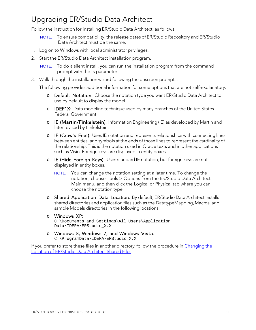## <span id="page-10-0"></span>Upgrading ER/Studio Data Architect

Follow the instruction for installing ER/Studio Data Architect, as follows:

- NOTE: To ensure compatibility, the release dates of ER/Studio Repository and ER/Studio Data Architect must be the same.
- 1. Log on to Windows with local administrator privileges.
- 2. Start the ER/Studio Data Architect installation program.

NOTE: To do a silent install, you can run the installation program from the command prompt with the -s parameter.

3. Walk through the installation wizard following the onscreen prompts.

The following provides additional information for some options that are not self-explanatory:

- o Default Notation: Choose the notation type you want ER/Studio Data Architect to use by default to display the model.
- o IDEF1X: Data modeling technique used by many branches of the United States Federal Government.
- o IE (Martin/Finkelstein): Information Engineering (IE) as developed by Martin and later revised by Finkelstein.
- o IE (Crow's Feet): Uses IE notation and represents relationships with connecting lines between entities, and symbols at the ends of those lines to represent the cardinality of the relationship. This is the notation used in Oracle texts and in other applications such as Visio. Foreign keys are displayed in entity boxes.
- o IE (Hide Foreign Keys): Uses standard IE notation, but foreign keys are not displayed in entity boxes.
	- NOTE: You can change the notation setting at a later time. To change the notation, choose Tools > Options from the ER/Studio Data Architect Main menu, and then click the Logical or Physical tab where you can choose the notation type.
- o Shared Application Data Location: By default, ER/Studio Data Architect installs shared directories and application files such as the DatatypeMapping, Macros, and sample Models directories in the following locations:
- o Windows XP: C:\Documents and Settings\All Users\Application Data\IDERA\ERStudio\_X.X
- o Windows 8, Windows 7, and Windows Vista: C:\ProgramData\IDERA\ERStudio\_X.X

If you prefer to store these files in another directory, follow the procedure in [Changing](#page-11-0) the Location of [ER/Studio](#page-11-0) Data Architect Shared Files.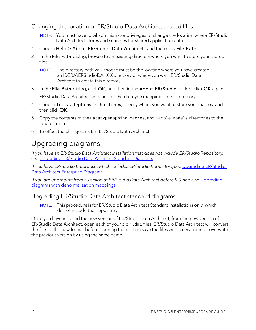<span id="page-11-0"></span>Changing the location of ER/Studio Data Architect shared files

- NOTE: You must have local administrator privileges to change the location where ER/Studio Data Architect stores and searches for shared application data.
- 1. Choose Help > About ER/Studio Data Architect, and then click File Path.
- 2. In the File Path dialog, browse to an existing directory where you want to store your shared files.
	- NOTE: The directory path you choose must be the location where you have created an IDERA\ERStudioDA\_X.X directory or where you want ER/Studio Data Architect to create this directory.
- 3. In the File Path dialog, click OK, and then in the About ER/Studio dialog, click OK again. ER/Studio Data Architect searches for the datatype mappings in this directory.
- 4. Choose Tools > Options > Directories, specify where you want to store your macros, and then click OK.
- 5. Copy the contents of the DatatypeMapping, Macros, and Sample Models directories to the new location.
- 6. To effect the changes, restart ER/Studio Data Architect.

## <span id="page-11-1"></span>Upgrading diagrams

*If you have an ER/Studio Data Architect installation that does not include ER/Studio Repository*, see [Upgrading](#page-11-2) ER/Studio Data Architect Standard Diagrams.

*If you have ER/Studio Enterprise, which includes ER/Studio Repository*, see [Upgrading ER/Studio](#page-12-0)  [Data Architect Enterprise Diagrams.](#page-12-0)

*If you are upgrading from a version of ER/Studio Data Architect before 9.0*, see also [Upgrading](#page-13-0)  [diagrams with denormalization mappings.](#page-13-0)

#### <span id="page-11-2"></span>Upgrading ER/Studio Data Architect standard diagrams

NOTE: This procedure is for ER/Studio Data Architect Standard installations only, which do not include the Repository.

Once you have installed the new version of ER/Studio Data Architect, from the new version of ER/Studio Data Architect, open each of your old \*.dm1 files. ER/Studio Data Architect will convert the files to the new format before opening them. Then save the files with a new name or overwrite the previous version by using the same name.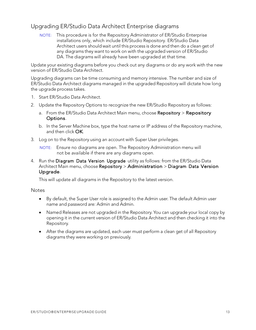#### <span id="page-12-0"></span>Upgrading ER/Studio Data Architect Enterprise diagrams

NOTE: This procedure is for the Repository Administrator of ER/Studio Enterprise installations only, which include ER/Studio Repository. ER/Studio Data Architect users should wait until this process is done and then do a clean get of any diagrams they want to work on with the upgraded version of ER/Studio DA. The diagrams will already have been upgraded at that time.

Update your existing diagrams before you check out any diagrams or do any work with the new version of ER/Studio Data Architect.

Upgrading diagrams can be time consuming and memory intensive. The number and size of ER/Studio Data Architect diagrams managed in the upgraded Repository will dictate how long the upgrade process takes.

- 1. Start ER/Studio Data Architect.
- 2. Update the Repository Options to recognize the new ER/Studio Repository as follows:
	- a. From the ER/Studio Data Architect Main menu, choose Repository > Repository Options.
	- b. In the Server Machine box, type the host name or IP address of the Repository machine, and then click OK.
- 3. Log on to the Repository using an account with Super User privileges.

NOTE: Ensure no diagrams are open. The Repository Administration menu will not be available if there are any diagrams open.

4. Run the Diagram Data Version Upgrade utility as follows: from the ER/Studio Data Architect Main menu, choose Repository > Administration > Diagram Data Version Upgrade.

This will update all diagrams in the Repository to the latest version.

#### **Notes**

- By default, the Super User role is assigned to the Admin user. The default Admin user name and password are: Admin and Admin.
- Named Releases are not upgraded in the Repository. You can upgrade your local copy by opening it in the current version of ER/Studio Data Architect and then checking it into the Repository.
- After the diagrams are updated, each user must perform a clean get of all Repository diagrams they were working on previously.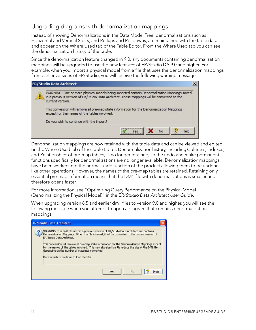#### <span id="page-13-0"></span>Upgrading diagrams with denormalization mappings

Instead of showing Denormalizations in the Data Model Tree, denormalizations such as Horizontal and Vertical Splits, and Rollups and Rolldowns, are maintained with the table data and appear on the Where Used tab of the Table Editor. From the Where Used tab you can see the denormalization history of the table.

Since the denormalization feature changed in 9.0, any documents containing denormalization mappings will be upgraded to use the new features of ER/Studio DA 9.0 and higher. For example, when you import a physical model from a file that uses the denormalization mappings from earlier versions of ER/Studio, you will receive the following warning message:

|  | <b>ER/Studio Data Architect</b>                                                                                                                                                                              |
|--|--------------------------------------------------------------------------------------------------------------------------------------------------------------------------------------------------------------|
|  | WARNING: One or more physical models being imported contain Denormalization Mappings saved<br>in a previous version of ER/Studio Data Architect. Those mappings will be converted to the<br>current version. |
|  | This conversion will remove all pre-map state information for the Denormalization Mappings<br>except for the names of the tables involved.                                                                   |
|  | Do you wish to continue with the import?                                                                                                                                                                     |
|  | <br>No<br>Yes.<br>Help                                                                                                                                                                                       |
|  |                                                                                                                                                                                                              |

Denormalization mappings are now retained with the table data and can be viewed and edited on the Where Used tab of the Table Editor. Denormalization history, including Columns, Indexes, and Relationships of pre-map tables, is no longer retained, so the undo and make permanent functions specifically for denormalizations are no longer available. Denormalization mappings have been worked into the normal undo function of the product allowing them to be undone like other operations. However, the names of the pre-map tables are retained. Retaining only essential pre-map information means that the DM1 file with denormalizations is smaller and therefore opens faster.

For more information, see "Optimizing Query Performance on the Physical Model (Denormalizing the Physical Model)" in the *ER/Studio Data Architect User Guide*.

When upgrading version 8.5 and earlier dm1 files to version 9.0 and higher, you will see the following message when you attempt to open a diagram that contains denormalization mappings.

| <b>ER/Studio Data Architect</b>                                                                                                                                                                                                                                                                                                                                                                                                                                                                                                      |
|--------------------------------------------------------------------------------------------------------------------------------------------------------------------------------------------------------------------------------------------------------------------------------------------------------------------------------------------------------------------------------------------------------------------------------------------------------------------------------------------------------------------------------------|
| WARNING: This DM1 file is from a previous version of ER/Studio Data Architect and contains<br>Denormalization Mappings. When the file is saved, it will be converted to the current version of<br>ER/Studio Data Architect.<br>This conversion will remove all pre-map state information for the Denormalization Mappings except<br>for the names of the tables involved. This may also significantly reduce the size of the DM1 file<br>depending on the number of mappings converted.<br>Do you wish to continue to load the file? |
| No<br>Yes<br>Help                                                                                                                                                                                                                                                                                                                                                                                                                                                                                                                    |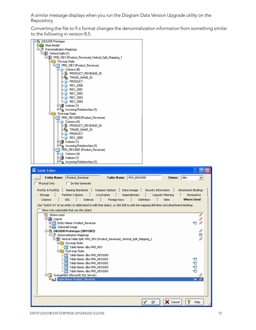A similar message displays when you run the Diagram Data Version Upgrade utility on the Repository.

Converting the file to 9.x format changes the denormalization information from something similar to the following in version 8.5.

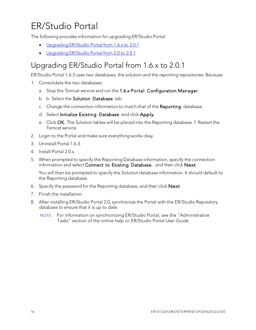# <span id="page-15-0"></span>ER/Studio Portal

The following provides information for upgrading ER/Studio Portal:

- [Upgrading](#page-15-1) ER/Studio Portal from 1.6.x to 2.0.1
- [Upgrading](#page-16-0) ER/Studio Portal from 2.0 to 2.0.1

## <span id="page-15-1"></span>Upgrading ER/Studio Portal from 1.6.x to 2.0.1

ER/Studio Portal 1.6.3 uses two databases, the solution and the reporting repositories. Because

- 1. Consolidate the two databases:
	- a. Stop the Tomcat service and run the 1.6.x Portal Configuration Manager.
	- b. b. Select the Solution Database tab.
	- c. Change the connection information to match that of the Reporting database.
	- d. Select Initialize Existing Database and click Apply.
	- e. Click OK. The Solution tables will be placed into the Reporting database. f. Restart the Tomcat service.
- 2. Login to the Portal and make sure everything works okay.
- 3. Uninstall Portal 1.6.3.
- 4. Install Portal 2.0.x.
- 5. When prompted to specify the Reporting Database information, specify the connection information and select Connect to Existing Database, and then click Next.

You will then be prompted to specify the Solution database information. It should default to the Reporting database.

- 6. Specify the password for the Reporting database, and then click Next.
- 7. Finish the installation.
- 8. After installing ER/Studio Portal 2.0, synchronize the Portal with the ER/Studio Repository database to ensure that it is up to date.
	- NOTE: For information on synchronizing ER/Studio Portal, see the "Administrative Tasks" section of the online help or *ER/Studio Portal User Guide*.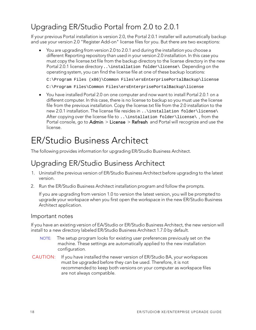## <span id="page-16-0"></span>Upgrading ER/Studio Portal from 2.0 to 2.0.1

If your previous Portal installation is version 2.0, the Portal 2.0.1 installer will automatically backup and use your version 2.0 "Register Add-on" license files for you. But there are two exceptions:

• You are upgrading from version 2.0 to 2.0.1 and during the installation you choose a different Reporting repository than used in your version 2.0 installation. In this case you must copy the license.txt file from the backup directory to the license directory in the new Portal 2.0.1 license directory..\installation folder\license\ Depending on the operating system, you can find the license file at one of these backup locations:

C:\Program Files (x86)\Common Files\ersEnterprisePortalBackup\license

```
C:\Program Files\Common Files\ersEnterprisePortalBackup\license
```
• You have installed Portal 2.0 on one computer and now want to install Portal 2.0.1 on a different computer. In this case, there is no license to backup so you must use the license file from the previous installation. Copy the license.txt file from the 2.0 installation to the new 2.0.1 installation. The license file resides in ..\installation folder\license\ After copying over the license file to ..\installation folder\license\ , from the Portal console, go to  $Admin > License > Refresh$  and Portal will recognize and use the license.

# <span id="page-16-1"></span>ER/Studio Business Architect

The following provides information for upgrading ER/Studio Business Architect.

## <span id="page-16-2"></span>Upgrading ER/Studio Business Architect

- 1. Uninstall the previous version of ER/Studio Business Architect before upgrading to the latest version.
- 2. Run the ER/Studio Business Architect installation program and follow the prompts.

If you are upgrading from version 1.0 to version the latest version, you will be prompted to upgrade your workspace when you first open the workspace in the new ER/Studio Business Architect application.

#### <span id="page-16-3"></span>Important notes

If you have an existing version of EA/Studio or ER/Studio Business Architect, the new version will install to a new directory labeled ER/Studio Business Architect 1.7.0 by default.

- NOTE: The setup program looks for existing user preferences previously set on the machine. These settings are automatically applied to the new installation configuration.
- CAUTION: If you have installed the newer version of ER/Studio BA, your workspaces must be upgraded before they can be used. Therefore, it is not recommended to keep both versions on your computer as workspace files are not always compatible.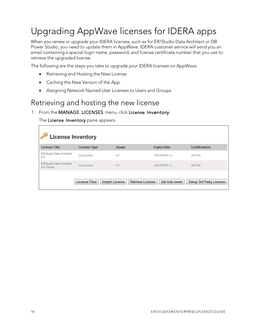# <span id="page-17-0"></span>Upgrading AppWave licenses for IDERA apps

When you renew or upgrade your IDERA licenses, such as for ER/Studio Data Architect or DB Power Studio, you need to update them in AppWave. IDERA customer service will send you an email containing a special login name, password, and license certificate number that you use to retrieve the upgraded license.

The following are the steps you take to upgrade your IDERA licenses on AppWave.

- Retrieving and Hosting the New License
- Caching the New Version of the App
- Assigning Network Named User Licenses to Users and Groups

### <span id="page-17-1"></span>Retrieving and hosting the new license

#### 1. From the MANAGE LICENSES menu, click License Inventory.

The License Inventory pane appears.

 $\mathbf{r}$ 

| <b>License Inventory</b>               |                      |                |                                            |                         |
|----------------------------------------|----------------------|----------------|--------------------------------------------|-------------------------|
| <b>License Title</b>                   | <b>License Type</b>  | Usage          | <b>Expiry Date</b>                         | Certificate(s)          |
| ER/Studio Data Architect<br>9.0        | Concurrent           | 0/1            | UNLIMITED (1)                              | 281406                  |
| ER/Studio Data Architect<br>9.0 Oracle | Concurrent           | 0/1            | UNLIMITED (1)                              | 281406                  |
|                                        | <b>License Files</b> | Import License | <b>Retrieve License</b><br>Set trial owner | Setup 3rd Party License |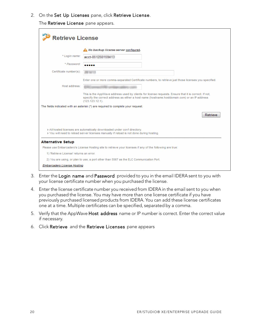2. On the Set Up Licenses pane, click Retrieve License.

The Retrieve License pane appears.

| <b>Retrieve License</b>                                                                                                                                            |                                                                                                                                                                                                                            |  |
|--------------------------------------------------------------------------------------------------------------------------------------------------------------------|----------------------------------------------------------------------------------------------------------------------------------------------------------------------------------------------------------------------------|--|
|                                                                                                                                                                    | No backup license server configured.                                                                                                                                                                                       |  |
| * Login name:                                                                                                                                                      | acct-In NMONDHANKS                                                                                                                                                                                                         |  |
| * Password:                                                                                                                                                        |                                                                                                                                                                                                                            |  |
| Certificate number(s):                                                                                                                                             |                                                                                                                                                                                                                            |  |
|                                                                                                                                                                    | Enter one or more comma-separated Certificate numbers, to retrieve just those licenses you specified.                                                                                                                      |  |
| Host address:                                                                                                                                                      |                                                                                                                                                                                                                            |  |
|                                                                                                                                                                    | This is the AppWave address used by clients for license requests. Ensure that it is correct. If not,<br>specify the correct address as either a host name (hostname.hostdomain.com) or an IP address<br>$(123.123.12.1)$ . |  |
|                                                                                                                                                                    | The fields indicated with an asterisk (*) are required to complete your request.                                                                                                                                           |  |
|                                                                                                                                                                    | Retrieve                                                                                                                                                                                                                   |  |
| All hosted licenses are automatically downloaded under conf directory.<br>> You will need to reload server licenses manually if reload is not done during hosting. |                                                                                                                                                                                                                            |  |
| <b>Alternative Setup</b>                                                                                                                                           |                                                                                                                                                                                                                            |  |
|                                                                                                                                                                    | Please use Embarcadero's License Hosting site to retrieve your licenses if any of the following are true:                                                                                                                  |  |
| 1) 'Retrieve License' returns an error.                                                                                                                            |                                                                                                                                                                                                                            |  |
| 2) You are using, or plan to use, a port other than 5567 as the ELC Communication Port.                                                                            |                                                                                                                                                                                                                            |  |
| Embarcadero License Hosting                                                                                                                                        |                                                                                                                                                                                                                            |  |

- 3. Enter the Login name and Password provided to you in the email IDERA sent to you with your license certificate number when you purchased the license.
- 4. Enter the license certificate number you received from IDERA in the email sent to you when you purchased the license. You may have more than one license certificate if you have previously purchased licensed products from IDERA. You can add these license certificates one at a time. Multiple certificates can be specified, separated by a comma.
- 5. Verify that the AppWave Host address name or IP number is correct. Enter the correct value if necessary.
- 6. Click Retrieve and the Retrieve Licenses pane appears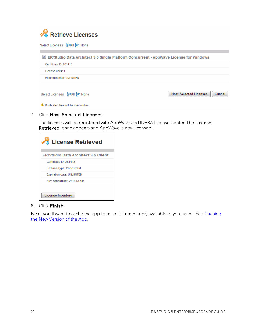| Retrieve Licenses                                                                |                                                                                                   |                                         |
|----------------------------------------------------------------------------------|---------------------------------------------------------------------------------------------------|-----------------------------------------|
| Select Licenses ApaAll HD None                                                   |                                                                                                   |                                         |
|                                                                                  | $\boxtimes$ ER/Studio Data Architect 9.5 Single Platform Concurrent - AppWave License for Windows |                                         |
| Certificate ID: 281413                                                           |                                                                                                   |                                         |
| License units: 1                                                                 |                                                                                                   |                                         |
| <b>Expiration date: UNLIMITED</b>                                                |                                                                                                   |                                         |
| Select Licenses ggaAll Hp None<br><b>4</b> Duplicated files will be overwritten. |                                                                                                   | <b>Host Selected Licenses</b><br>Cancel |

7. Click Host Selected Licenses.

The licenses will be registered with AppWave and IDERA License Center. The **License Retrieved** pane appears and AppWave is now licensed.

| License Retrieved                          |
|--------------------------------------------|
| <b>ER/Studio Data Architect 9.5 Client</b> |
| Certificate ID: 281413                     |
| License Type: Concurrent                   |
| <b>Expiration date: UNLIMITED</b>          |
| File: concurrent 281413.slip               |
| License Inventory                          |

#### 8. Click Finish.

Next, you'll want to cache the app to make it immediately available to your users. See Caching the New Version of the App.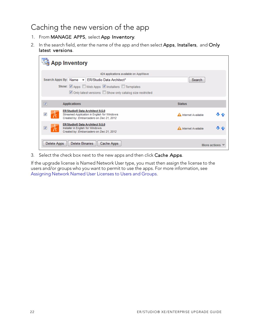### <span id="page-20-0"></span>Caching the new version of the app

- 1. From MANAGE APPS, select App Inventory.
- 2. In the search field, enter the name of the app and then select Apps, Installers, and Only latest versions.

| <b>App Inventory</b>    |                                                                                                                                       |                      |     |
|-------------------------|---------------------------------------------------------------------------------------------------------------------------------------|----------------------|-----|
|                         | 424 applications available on AppWave                                                                                                 |                      |     |
|                         | Search Apps By: Name - ER/Studio Data Architect*                                                                                      | Search               |     |
|                         | Show: Apps Web Apps M Installers M Templates                                                                                          |                      |     |
|                         | Only latest versions Show only catalog size restricted                                                                                |                      |     |
| $\overline{\mathbf{v}}$ | <b>Applications</b>                                                                                                                   | <b>Status</b>        |     |
| V                       | ER/Studio <sup>®</sup> Data Architect 9.5.0<br>Streamed Application in English for Windows<br>Created by: Embarcadero on Dec 21, 2012 | A Internet Available | 小 小 |
| $\overline{\mathsf{v}}$ | ER/Studio <sup>®</sup> Data Architect 9.5.0<br>Installer in English for Windows<br>Created by: Embarcadero on Dec 21, 2012            | A Internet Available | 是合  |
|                         | Delete Binaries<br>Delete Apps<br>Cache Apps<br>More actions                                                                          |                      |     |

3. Select the check box next to the new apps and then click Cache Apps.

If the upgrade license is Named Network User type, you must then assign the license to the users and/or groups who you want to permit to use the apps. For more information, see Assigning Network Named User Licenses to Users and Groups.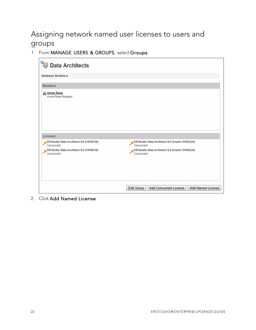## <span id="page-21-0"></span>Assigning network named user licenses to users and groups

1. From MANAGE USERS & GROUPS, select Groups.

| ER/Studio Data Architect 9.0 Oracle (14103:24)                             |
|----------------------------------------------------------------------------|
| Concurrent<br>ER/Studio Data Architect 9.5 Oracle (14105:24)<br>Concurrent |
|                                                                            |
| Add Concurrent License<br><b>Add Named License</b><br><b>Edit Group</b>    |
|                                                                            |

2. Click Add Named License.